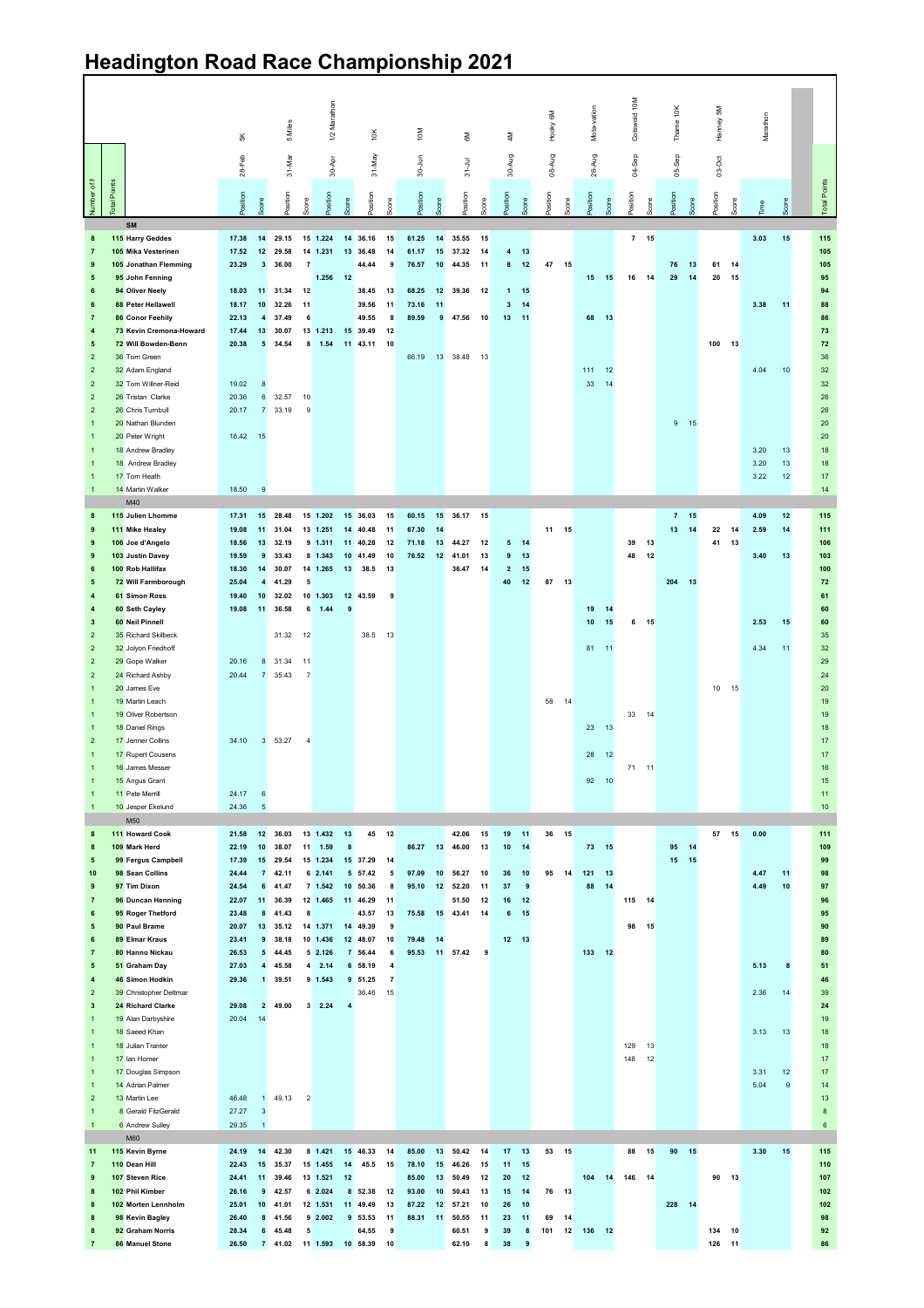## **Headington Road Race Championship 2021**

| $\mathbf{1}$<br>$\mathbf{1}$<br>$\mathbf{1}$<br>$\mathbf{1}$<br>$\overline{2}$<br>$\mathbf{1}$<br>$\mathbf{1}$                                                                                                                                                                                                                                                                                                                                                                            |
|-------------------------------------------------------------------------------------------------------------------------------------------------------------------------------------------------------------------------------------------------------------------------------------------------------------------------------------------------------------------------------------------------------------------------------------------------------------------------------------------|
|                                                                                                                                                                                                                                                                                                                                                                                                                                                                                           |
| 10 Jesper Ekelund<br>M50<br>111 Howard Cook<br>109 Mark Herd<br>99 Fergus Campbell<br>98 Sean Collins<br>97 Tim Dixon<br>96 Duncan Henning<br>95 Roger Thetford<br>90 Paul Brame<br>89 Elmar Kraus<br>80 Hanno Nickau<br>51 Graham Day<br>46 Simon Hodkin<br>39 Christopher Dettmar<br>24 Richard Clarke<br>19 Alan Darbyshire<br>18 Saeed Khan<br>18 Julian Tranter<br>17 Ian Homer<br>17 Douglas Simpson<br>14 Adrian Palmer<br>13 Martin Lee<br>8 Gerald FitzGerald<br>6 Andrew Sulley |
| 24.17<br>24.36<br>21.58<br>22.19<br>17.39<br>24.44<br>24.54<br>22.07<br>23.48<br>20.07<br>23.41<br>26.53<br>27.03<br>29.36<br>29.08<br>20.04<br>46.48<br>27.27<br>29.35                                                                                                                                                                                                                                                                                                                   |
| $6\phantom{1}6$<br>$\sqrt{5}$<br>12<br>10<br>15<br>$\overline{7}$<br>6<br>11<br>8<br>13<br>$\pmb{9}$<br>$5\phantom{a}$<br>$\overline{\mathbf{4}}$<br>$\mathbf{1}$<br>$\overline{2}$<br>14<br>$\mathbf{1}$<br>$\mathbf 3$<br>$\mathbf{1}$                                                                                                                                                                                                                                                  |
| 36.03<br>38.07<br>29.54<br>42.11<br>41.47<br>36.39<br>41.43<br>35.12<br>38.18<br>44.45<br>45.58<br>39.51<br>49.00<br>49.13                                                                                                                                                                                                                                                                                                                                                                |
| 11<br>8<br>$\overline{\mathbf{c}}$                                                                                                                                                                                                                                                                                                                                                                                                                                                        |
| 13 1.432<br>1.59<br>15 1.234<br>6 2.141<br>7 1.542<br>12 1.465<br>14 1.371<br>10 1.436<br>52.126<br>$4 \quad 2.14$<br>9 1.543<br>$3\quad 2.24$                                                                                                                                                                                                                                                                                                                                            |
| 13<br>8<br>$\overline{\mathbf{4}}$                                                                                                                                                                                                                                                                                                                                                                                                                                                        |
| 45<br>15 37.29<br>5 57.42<br>10 50.36<br>11 46.29<br>43.57<br>14 49.39<br>12 48.07<br>7 56.44<br>6 58.19<br>9 51.25<br>36.46                                                                                                                                                                                                                                                                                                                                                              |
| 12<br>14<br>5<br>8<br>11<br>13<br>9<br>10<br>6<br>4<br>$\overline{7}$<br>15                                                                                                                                                                                                                                                                                                                                                                                                               |
| 86.27<br>97.09<br>95.10<br>75.58<br>79.48<br>95.53                                                                                                                                                                                                                                                                                                                                                                                                                                        |
| 13<br>10<br>12<br>15<br>14                                                                                                                                                                                                                                                                                                                                                                                                                                                                |
| 42.06<br>15<br>46.00<br>13<br>56.27<br>10<br>52.20<br>11<br>51.50<br>12<br>43.41<br>14<br>11 57.42<br>9                                                                                                                                                                                                                                                                                                                                                                                   |
| 19<br>10<br>36<br>37<br>16<br>6                                                                                                                                                                                                                                                                                                                                                                                                                                                           |
| 11<br>14<br>10<br>$\boldsymbol{9}$<br>12<br>15<br>12 13                                                                                                                                                                                                                                                                                                                                                                                                                                   |
| 36 15<br>14<br>95                                                                                                                                                                                                                                                                                                                                                                                                                                                                         |
| 28<br>92<br>73<br>121<br>88                                                                                                                                                                                                                                                                                                                                                                                                                                                               |
| 12<br>10<br>15<br>13<br>14<br>133 12                                                                                                                                                                                                                                                                                                                                                                                                                                                      |
| $71 - 11$<br>115 14<br>98<br>129<br>148                                                                                                                                                                                                                                                                                                                                                                                                                                                   |
| 15<br>13<br>12                                                                                                                                                                                                                                                                                                                                                                                                                                                                            |
| 95<br>15                                                                                                                                                                                                                                                                                                                                                                                                                                                                                  |
| 14<br>15                                                                                                                                                                                                                                                                                                                                                                                                                                                                                  |
| 57                                                                                                                                                                                                                                                                                                                                                                                                                                                                                        |
| 15                                                                                                                                                                                                                                                                                                                                                                                                                                                                                        |
| 0.00<br>4.47<br>4.49<br>5.13<br>2.36<br>3.13<br>3.31<br>5.04                                                                                                                                                                                                                                                                                                                                                                                                                              |
| 11<br>10<br>8<br>14<br>13<br>12<br>9                                                                                                                                                                                                                                                                                                                                                                                                                                                      |
|                                                                                                                                                                                                                                                                                                                                                                                                                                                                                           |
| 17<br>16<br>$15\,$<br>11<br>$10$<br>111<br>109<br>99<br>98<br>97<br>96<br>95<br>90<br>89<br>80<br>51<br>46<br>39<br>24<br>19<br>$18$<br>18<br>17<br>17<br>14<br>13<br>$\bf8$<br>6                                                                                                                                                                                                                                                                                                         |